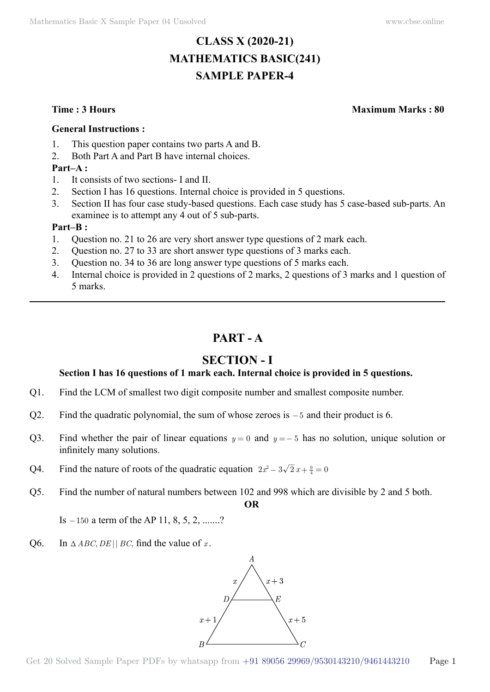# **CLASS X (2020-21) MATHEMATICS BASIC(241) SAMPLE PAPER-4**

**Time : 3 Hours Maximum Marks : 80**

#### **General Instructions :**

- 1. This question paper contains two parts A and B.
- 2. Both Part A and Part B have internal choices.

#### **Part–A :**

- 1. It consists of two sections- I and II.
- 2. Section I has 16 questions. Internal choice is provided in 5 questions.
- 3. Section II has four case study-based questions. Each case study has 5 case-based sub-parts. An examinee is to attempt any 4 out of 5 sub-parts.

#### **Part–B :**

- 1. Question no. 21 to 26 are very short answer type questions of 2 mark each.
- 2. Question no. 27 to 33 are short answer type questions of 3 marks each.
- 3. Question no. 34 to 36 are long answer type questions of 5 marks each.
- 4. Internal choice is provided in 2 questions of 2 marks, 2 questions of 3 marks and 1 question of 5 marks.

# **Part - A**

# **Section - I**

### **Section I has 16 questions of 1 mark each. Internal choice is provided in 5 questions.**

- Q1. Find the LCM of smallest two digit composite number and smallest composite number.
- Q2. Find the quadratic polynomial, the sum of whose zeroes is -5 and their product is 6.
- Q3. Find whether the pair of linear equations  $y = 0$  and  $y = -5$  has no solution, unique solution or infinitely many solutions.
- Q4. Find the nature of roots of the quadratic equation  $2x^2 3\sqrt{2}x + \frac{9}{4} = 0$
- Q5. Find the number of natural numbers between 102 and 998 which are divisible by 2 and 5 both.  **O**

Is  $-150$  a term of the AP 11, 8, 5, 2, .......?

Q6. In  $\triangle ABC, DE \parallel BC$ , find the value of *x*.

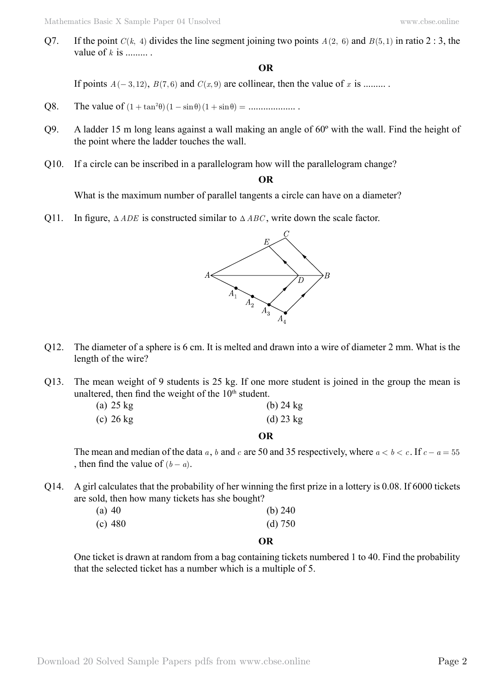Q7. If the point  $C(k, 4)$  divides the line segment joining two points  $A(2, 6)$  and  $B(5, 1)$  in ratio 2 : 3, the value of  $k$  is

#### **O**

If points  $A(-3, 12)$ ,  $B(7, 6)$  and  $C(x, 9)$  are collinear, then the value of x is .........

- Q8. The value of  $(1 + \tan^2\theta) (1 \sin \theta) (1 + \sin \theta) =$  ......................
- Q9. A ladder 15 m long leans against a wall making an angle of 60º with the wall. Find the height of the point where the ladder touches the wall.
- Q10. If a circle can be inscribed in a parallelogram how will the parallelogram change?

#### **O**

What is the maximum number of parallel tangents a circle can have on a diameter?

Q11. In figure,  $\triangle ADE$  is constructed similar to  $\triangle ABC$ , write down the scale factor.



- Q12. The diameter of a sphere is 6 cm. It is melted and drawn into a wire of diameter 2 mm. What is the length of the wire?
- Q13. The mean weight of 9 students is 25 kg. If one more student is joined in the group the mean is unaltered, then find the weight of the  $10<sup>th</sup>$  student.

| $(a)$ 25 kg | $(b)$ 24 kg |
|-------------|-------------|
| $(c)$ 26 kg | $(d)$ 23 kg |

 **O**

The mean and median of the data *a*, *b* and *c* are 50 and 35 respectively, where  $a < b < c$ . If  $c - a = 55$ , then find the value of  $(b - a)$ .

Q14. A girl calculates that the probability of her winning the first prize in a lottery is 0.08. If 6000 tickets are sold, then how many tickets has she bought?

| $(a)$ 40  | (b) $240$ |
|-----------|-----------|
| $(c)$ 480 | (d) 750   |

#### **O**

One ticket is drawn at random from a bag containing tickets numbered 1 to 40. Find the probability that the selected ticket has a number which is a multiple of 5.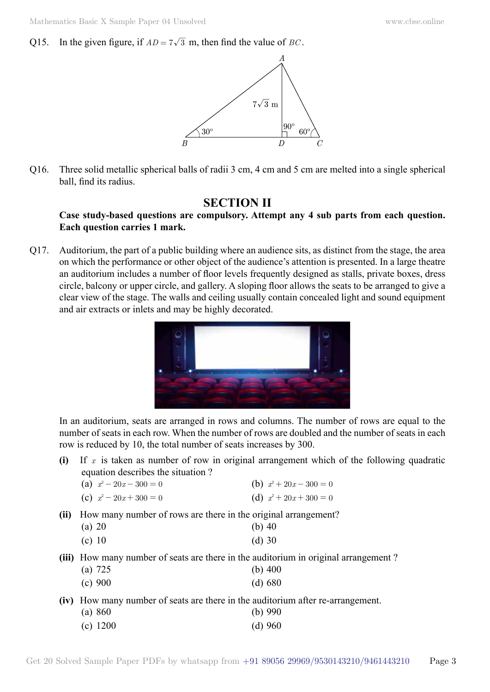Q15. In the given figure, if  $AD = 7\sqrt{3}$  m, then find the value of *BC*.



Q16. Three solid metallic spherical balls of radii 3 cm, 4 cm and 5 cm are melted into a single spherical ball, find its radius.

## **Section II**

#### **Case study-based questions are compulsory. Attempt any 4 sub parts from each question. Each question carries 1 mark.**

Q17. Auditorium, the part of a public building where an audience sits, as distinct from the stage, the area on which the performance or other object of the audience's attention is presented. In a large theatre an auditorium includes a number of floor levels frequently designed as stalls, private boxes, dress circle, balcony or upper circle, and gallery. A sloping floor allows the seats to be arranged to give a clear view of the stage. The walls and ceiling usually contain concealed light and sound equipment and air extracts or inlets and may be highly decorated.



In an auditorium, seats are arranged in rows and columns. The number of rows are equal to the number of seats in each row. When the number of rows are doubled and the number of seats in each row is reduced by 10, the total number of seats increases by 300.

- **(i)** If *x* is taken as number of row in original arrangement which of the following quadratic equation describes the situation ?
	- (a)  $x^2 20x 300 = 0$  <br> (b)  $x^2 + 20x 300 = 0$
	- (c)  $x^2 20x + 300 = 0$  <br> (d)  $x^2 + 20x + 300 = 0$
- **(ii)** How many number of rows are there in the original arrangement?

| $(a)$ 20 | (b) $40$ |
|----------|----------|
| (c) 10   | $(d)$ 30 |

- 
- **(iii)** How many number of seats are there in the auditorium in original arrangement? (a) 725 (b) 400
	- (c) 900 (d) 680
- **(iv)** How many number of seats are there in the auditorium after re-arrangement.

| (a) 860    | (b) $990$ |
|------------|-----------|
| $(c)$ 1200 | $(d)$ 960 |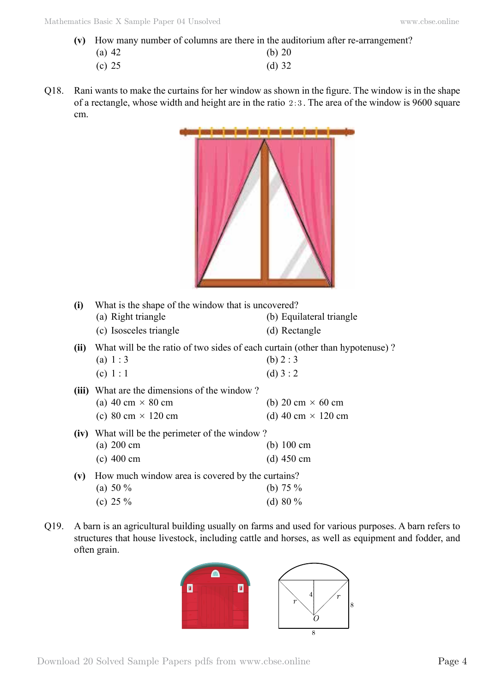**(v)** How many number of columns are there in the auditorium after re-arrangement?

| $(a)$ 42 | $(b)$ 20 |
|----------|----------|
| (c) 25   | (d) $32$ |

Q18. Rani wants to make the curtains for her window as shown in the figure. The window is in the shape of a rectangle, whose width and height are in the ratio  $2:3$ . The area of the window is 9600 square cm.



| (i)   | What is the shape of the window that is uncovered?                           |                           |  |  |
|-------|------------------------------------------------------------------------------|---------------------------|--|--|
|       | (a) Right triangle                                                           | (b) Equilateral triangle  |  |  |
|       | (c) Isosceles triangle                                                       | (d) Rectangle             |  |  |
| (ii)  | What will be the ratio of two sides of each curtain (other than hypotenuse)? |                           |  |  |
|       | (a) $1:3$                                                                    | (b) $2:3$                 |  |  |
|       | (c) $1:1$                                                                    | (d) $3:2$                 |  |  |
| (iii) | What are the dimensions of the window?                                       |                           |  |  |
|       | (a) 40 cm $\times$ 80 cm                                                     | (b) 20 cm $\times$ 60 cm  |  |  |
|       | (c) 80 cm $\times$ 120 cm                                                    | (d) 40 cm $\times$ 120 cm |  |  |
|       | (iv) What will be the perimeter of the window?                               |                           |  |  |
|       | $(a)$ 200 cm                                                                 | (b) $100 \text{ cm}$      |  |  |
|       | $(c)$ 400 cm                                                                 | (d) $450 \text{ cm}$      |  |  |
| (v)   | How much window area is covered by the curtains?                             |                           |  |  |
|       | (a) 50 $\%$                                                                  | (b) $75\%$                |  |  |
|       | (c) 25 $\%$                                                                  | (d) $80\%$                |  |  |
|       |                                                                              |                           |  |  |

Q19. A barn is an agricultural building usually on farms and used for various purposes. A barn refers to structures that house livestock, including cattle and horses, as well as equipment and fodder, and often grain.

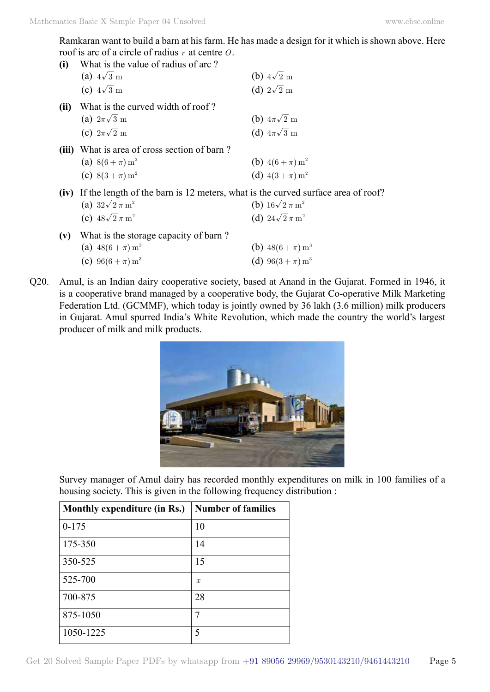Ramkaran want to build a barn at his farm. He has made a design for it which is shown above. Here roof is arc of a circle of radius *r* at centre *O*.

| What is the value of radius of arc?                                                          |                                     |
|----------------------------------------------------------------------------------------------|-------------------------------------|
| (a) $4\sqrt{3}$ m                                                                            | (b) $4\sqrt{2}$ m                   |
| (c) $4\sqrt{3}$ m                                                                            | (d) $2\sqrt{2}$ m                   |
| What is the curved width of roof?                                                            |                                     |
| (a) $2\pi\sqrt{3}$ m                                                                         | (b) $4\pi\sqrt{2}$ m                |
| (c) $2\pi\sqrt{2}$ m                                                                         | (d) $4\pi\sqrt{3}$ m                |
| What is area of cross section of barn?                                                       |                                     |
| (a) $8(6 + \pi) m^2$                                                                         | (b) $4(6 + \pi) m^2$                |
| (c) $8(3 + \pi) m^2$                                                                         | (d) $4(3 + \pi) m^2$                |
| <b>(iv)</b> If the length of the barn is 12 meters, what is the curved surface area of roof? |                                     |
| (a) $32\sqrt{2}\,\pi\,\mathrm{m}^2$                                                          | (b) $16\sqrt{2} \pi m^2$            |
| (c) $48\sqrt{2} \pi m^2$                                                                     | (d) $24\sqrt{2}\,\pi\,\mathrm{m}^2$ |
| What is the storage capacity of barn?                                                        |                                     |
| (a) $48(6+\pi) m^3$                                                                          | (b) $48(6 + \pi) m^3$               |
| (c) $96(6 + \pi) m^3$                                                                        | (d) $96(3 + \pi) m^3$               |
|                                                                                              |                                     |

Q20. Amul, is an Indian dairy cooperative society, based at Anand in the Gujarat. Formed in 1946, it is a cooperative brand managed by a cooperative body, the Gujarat Co-operative Milk Marketing Federation Ltd. (GCMMF), which today is jointly owned by 36 lakh (3.6 million) milk producers in Gujarat. Amul spurred India's White Revolution, which made the country the world's largest producer of milk and milk products.



Survey manager of Amul dairy has recorded monthly expenditures on milk in 100 families of a housing society. This is given in the following frequency distribution :

| Monthly expenditure (in Rs.) | <b>Number of families</b> |
|------------------------------|---------------------------|
| $0 - 175$                    | 10                        |
| 175-350                      | 14                        |
| 350-525                      | 15                        |
| 525-700                      | $\mathcal{X}$             |
| 700-875                      | 28                        |
| 875-1050                     | 7                         |
| 1050-1225                    | 5                         |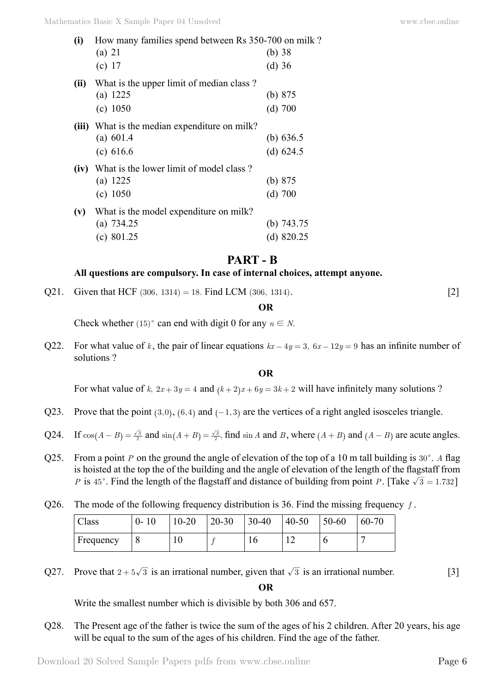| (i)  | How many families spend between Rs 350-700 on milk? |              |  |  |  |
|------|-----------------------------------------------------|--------------|--|--|--|
|      | $(a)$ 21                                            | (b) $38$     |  |  |  |
|      | (c) 17                                              | $(d)$ 36     |  |  |  |
| (ii) | What is the upper limit of median class?            |              |  |  |  |
|      | (a) $1225$                                          | (b) $875$    |  |  |  |
|      | (c) 1050                                            | $(d)$ 700    |  |  |  |
|      | (iii) What is the median expenditure on milk?       |              |  |  |  |
|      | (a) $601.4$                                         | (b) $636.5$  |  |  |  |
|      | (c) 616.6                                           | (d) $624.5$  |  |  |  |
|      | (iv) What is the lower limit of model class?        |              |  |  |  |
|      | (a) 1225                                            | (b) $875$    |  |  |  |
|      | (c) 1050                                            | $(d)$ 700    |  |  |  |
| (v)  | What is the model expenditure on milk?              |              |  |  |  |
|      | (a) $734.25$                                        | (b) $743.75$ |  |  |  |
|      | (c) $801.25$                                        | (d) $820.25$ |  |  |  |

## **Part - B**

#### **All questions are compulsory. In case of internal choices, attempt anyone.**

Q21. Given that HCF (306, 1314) = 18. Find LCM (306, 1314). [2]

 **O**

Check whether  $(15)^n$  can end with digit 0 for any  $n \in N$ .

Q22. For what value of *k*, the pair of linear equations  $kx - 4y = 3$ ,  $6x - 12y = 9$  has an infinite number of solutions ?

 **O**

For what value of *k*,  $2x + 3y = 4$  and  $(k + 2)x + 6y = 3k + 2$  will have infinitely many solutions ?

- Q23. Prove that the point  $(3, 0)$ ,  $(6, 4)$  and  $(-1, 3)$  are the vertices of a right angled isosceles triangle.
- Q24. If  $cos(A B) = \frac{\sqrt{3}}{2}$  and  $sin(A + B) = \frac{\sqrt{3}}{2}$ , find  $sin A$  and *B*, where  $(A + B)$  and  $(A B)$  are acute angles.
- Q25. From a point *P* on the ground the angle of elevation of the top of a 10 m tall building is  $30^\circ$ . *A* flag is hoisted at the top the of the building and the angle of elevation of the length of the flagstaff from *P* is 45°. Find the length of the flagstaff and distance of building from point *P*. [Take  $\sqrt{3} = 1.732$ ]
- Q26. The mode of the following frequency distribution is 36. Find the missing frequency *f* .

| Class         | $0 - 10$ | $10 - 20$ | $20 - 30$ | $30 - 40$ | $40 - 50$   | 50-60 | 60-70 |
|---------------|----------|-----------|-----------|-----------|-------------|-------|-------|
| $F$ Frequency |          | 1 Ο       |           | 10        | $\sim$<br>∸ | v     |       |

Q27. Prove that  $2 + 5\sqrt{3}$  is an irrational number, given that  $\sqrt{3}$  is an irrational number. [3]

 **O**

Write the smallest number which is divisible by both 306 and 657.

Q28. The Present age of the father is twice the sum of the ages of his 2 children. After 20 years, his age will be equal to the sum of the ages of his children. Find the age of the father.